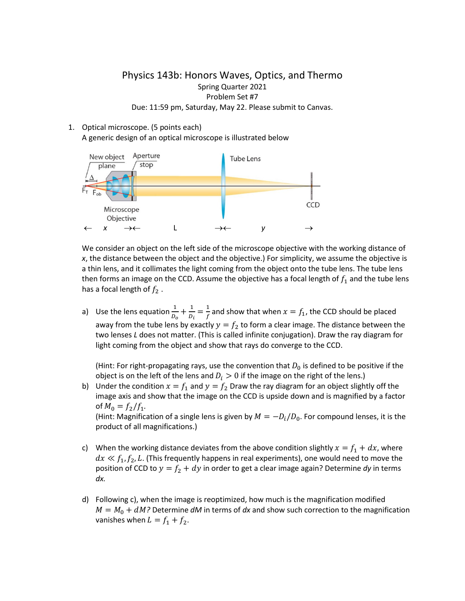## Physics 143b: Honors Waves, Optics, and Thermo Spring Quarter 2021 Problem Set #7 Due: 11:59 pm, Saturday, May 22. Please submit to Canvas.

## 1. Optical microscope. (5 points each) A generic design of an optical microscope is illustrated below



We consider an object on the left side of the microscope objective with the working distance of *x*, the distance between the object and the objective.) For simplicity, we assume the objective is a thin lens, and it collimates the light coming from the object onto the tube lens. The tube lens then forms an image on the CCD. Assume the objective has a focal length of  $f_1$  and the tube lens has a focal length of  $f_2$ .

a) Use the lens equation  $\frac{1}{D_o} + \frac{1}{D_i} = \frac{1}{f}$  and show that when  $x = f_1$ , the CCD should be placed away from the tube lens by exactly  $y = f_2$  to form a clear image. The distance between the two lenses *L* does not matter. (This is called infinite conjugation). Draw the ray diagram for light coming from the object and show that rays do converge to the CCD.

(Hint: For right-propagating rays, use the convention that  $D_0$  is defined to be positive if the object is on the left of the lens and  $D_i > 0$  if the image on the right of the lens.)

b) Under the condition  $x = f_1$  and  $y = f_2$  Draw the ray diagram for an object slightly off the image axis and show that the image on the CCD is upside down and is magnified by a factor of  $M_0 = f_2/f_1$ . (Hint: Magnification of a single lens is given by  $M = -D_l/D_0$ . For compound lenses, it is the

product of all magnifications.)

- c) When the working distance deviates from the above condition slightly  $x = f_1 + dx$ , where  $dx \ll f_1, f_2, L$ . (This frequently happens in real experiments), one would need to move the position of CCD to  $y = f_2 + dy$  in order to get a clear image again? Determine *dy* in terms *dx.*
- d) Following c), when the image is reoptimized, how much is the magnification modified  $M = M_0 + dM$ ? Determine *dM* in terms of *dx* and show such correction to the magnification vanishes when  $L = f_1 + f_2$ .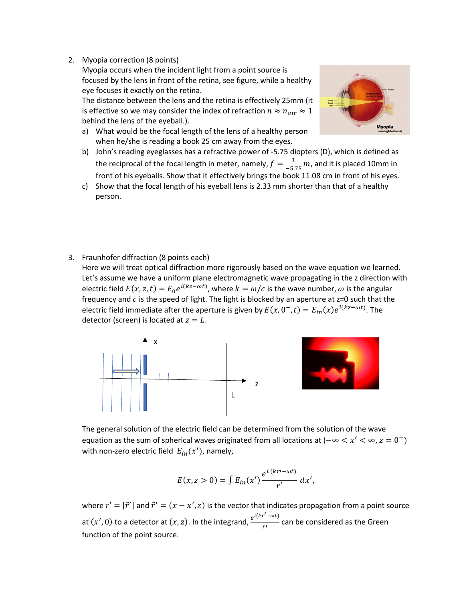2. Myopia correction (8 points)

Myopia occurs when the incident light from a point source is focused by the lens in front of the retina, see figure, while a healthy eye focuses it exactly on the retina.

The distance between the lens and the retina is effectively 25mm (it is effective so we may consider the index of refraction  $n \approx n_{air} \approx 1$ behind the lens of the eyeball.).

a) What would be the focal length of the lens of a healthy person when he/she is reading a book 25 cm away from the eyes.



- c) Show that the focal length of his eyeball lens is 2.33 mm shorter than that of a healthy person.
- 3. Fraunhofer diffraction (8 points each)

Here we will treat optical diffraction more rigorously based on the wave equation we learned. Let's assume we have a uniform plane electromagnetic wave propagating in the z direction with electric field  $E(x, z, t) = E_0 e^{i(kz - \omega t)}$ , where  $k = \omega/c$  is the wave number,  $\omega$  is the angular frequency and  $c$  is the speed of light. The light is blocked by an aperture at  $z=0$  such that the electric field immediate after the aperture is given by  $E(x, 0^+, t) = E_{in}(x)e^{i(kx - \omega t)}$ . The detector (screen) is located at  $z = L$ .





The general solution of the electric field can be determined from the solution of the wave equation as the sum of spherical waves originated from all locations at  $(-\infty < x' < \infty, z = 0^+)$ with non-zero electric field  $E_{in}(x')$ , namely,

$$
E(x, z > 0) = \int E_{in}(x') \frac{e^{i (kr' - \omega t)}}{r'} dx',
$$

where  $r' = |\vec{r}'|$  and  $\vec{r}' = (x - x', z)$  is the vector that indicates propagation from a point source at  $(x', 0)$  to a detector at  $(x, z)$ . In the integrand,  $\frac{e^{i(kr'-\omega t)}}{r'}$  can be considered as the Green function of the point source.

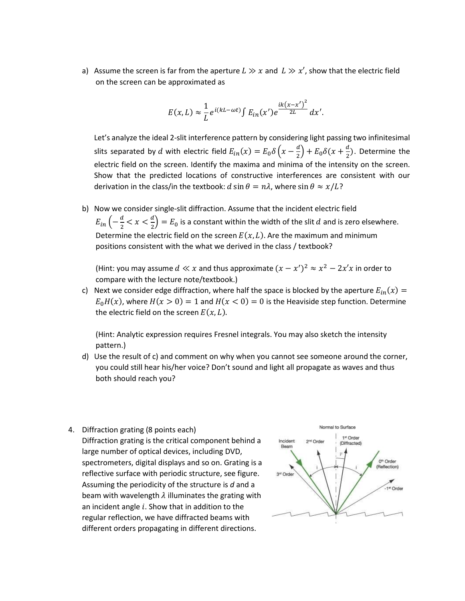a) Assume the screen is far from the aperture  $L \gg x$  and  $L \gg x'$ , show that the electric field on the screen can be approximated as

$$
E(x,L) \approx \frac{1}{L} e^{i(kL-\omega t)} \int E_{in}(x') e^{\frac{ik(x-x')^2}{2L}} dx'.
$$

Let's analyze the ideal 2-slit interference pattern by considering light passing two infinitesimal slits separated by  $d$  with electric field  $E_{in}(x) = E_0 \delta\left(x - \frac{d}{2}\right) + E_0 \delta(x + \frac{d}{2})$ . Determine the electric field on the screen. Identify the maxima and minima of the intensity on the screen. Show that the predicted locations of constructive interferences are consistent with our derivation in the class/in the textbook:  $d \sin \theta = n\lambda$ , where  $\sin \theta \approx x/L$ ?

b) Now we consider single-slit diffraction. Assume that the incident electric field  $E_{in} \left( -\frac{a}{2} < x < \frac{a}{2} \right) = E_0$  is a constant within the width of the slit  $d$  and is zero elsewhere. Determine the electric field on the screen  $E(x, L)$ . Are the maximum and minimum positions consistent with the what we derived in the class / textbook?

(Hint: you may assume  $d \ll x$  and thus approximate  $(x - x')^2 \approx x^2 - 2x'x$  in order to compare with the lecture note/textbook.)

c) Next we consider edge diffraction, where half the space is blocked by the aperture  $E_{in}(x)$  =  $E_0H(x)$ , where  $H(x > 0) = 1$  and  $H(x < 0) = 0$  is the Heaviside step function. Determine the electric field on the screen  $E(x, L)$ .

(Hint: Analytic expression requires Fresnel integrals. You may also sketch the intensity pattern.)

- d) Use the result of c) and comment on why when you cannot see someone around the corner, you could still hear his/her voice? Don't sound and light all propagate as waves and thus both should reach you?
- 4. Diffraction grating (8 points each) Diffraction grating is the critical component behind a large number of optical devices, including DVD, spectrometers, digital displays and so on. Grating is a reflective surface with periodic structure, see figure. Assuming the periodicity of the structure is *d* and a beam with wavelength  $\lambda$  illuminates the grating with an incident angle  $i$ . Show that in addition to the regular reflection, we have diffracted beams with different orders propagating in different directions.